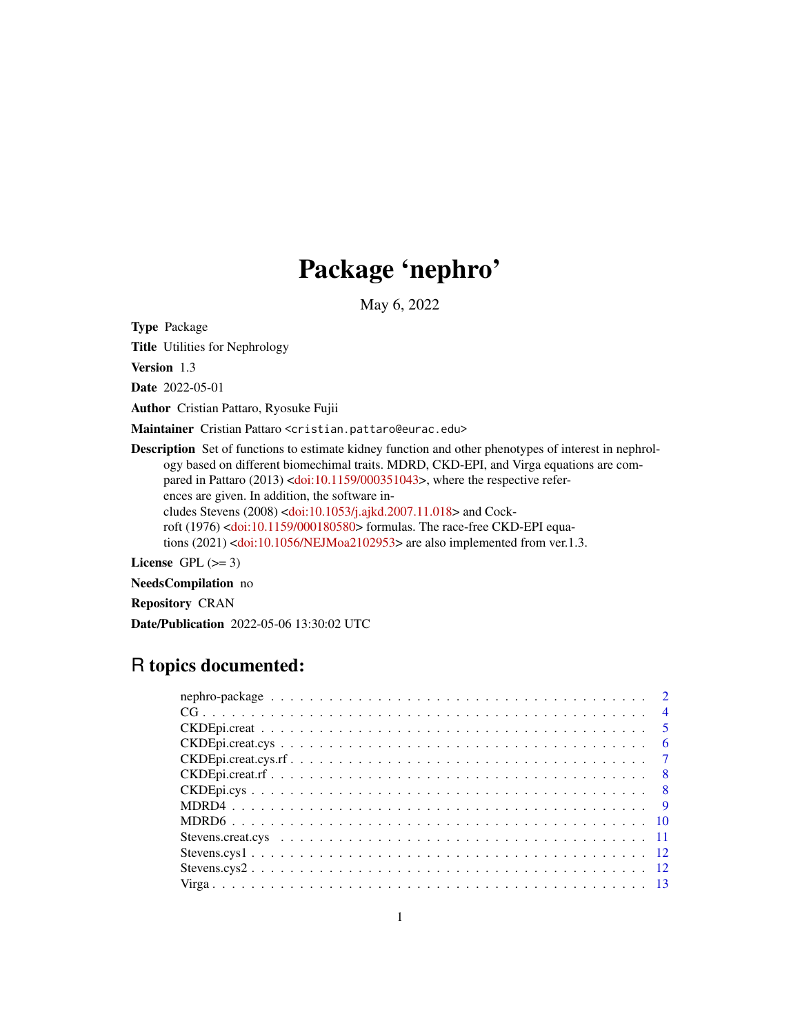# Package 'nephro'

May 6, 2022

Type Package

Title Utilities for Nephrology

Version 1.3

Date 2022-05-01

Author Cristian Pattaro, Ryosuke Fujii

Maintainer Cristian Pattaro <cristian.pattaro@eurac.edu>

Description Set of functions to estimate kidney function and other phenotypes of interest in nephrology based on different biomechimal traits. MDRD, CKD-EPI, and Virga equations are com-pared in Pattaro (2013) [<doi:10.1159/000351043>](https://doi.org/10.1159/000351043), where the respective references are given. In addition, the software includes Stevens (2008) [<doi:10.1053/j.ajkd.2007.11.018>](https://doi.org/10.1053/j.ajkd.2007.11.018) and Cockroft (1976) [<doi:10.1159/000180580>](https://doi.org/10.1159/000180580) formulas. The race-free CKD-EPI equations (2021) [<doi:10.1056/NEJMoa2102953>](https://doi.org/10.1056/NEJMoa2102953) are also implemented from ver.1.3.

License GPL  $(>= 3)$ 

NeedsCompilation no

Repository CRAN

Date/Publication 2022-05-06 13:30:02 UTC

# R topics documented:

| $CKDEpi.createys.fr. \ldots \ldots \ldots \ldots \ldots \ldots \ldots \ldots \ldots \ldots \ldots \ldots 7$ |  |
|-------------------------------------------------------------------------------------------------------------|--|
|                                                                                                             |  |
|                                                                                                             |  |
|                                                                                                             |  |
|                                                                                                             |  |
|                                                                                                             |  |
|                                                                                                             |  |
|                                                                                                             |  |
|                                                                                                             |  |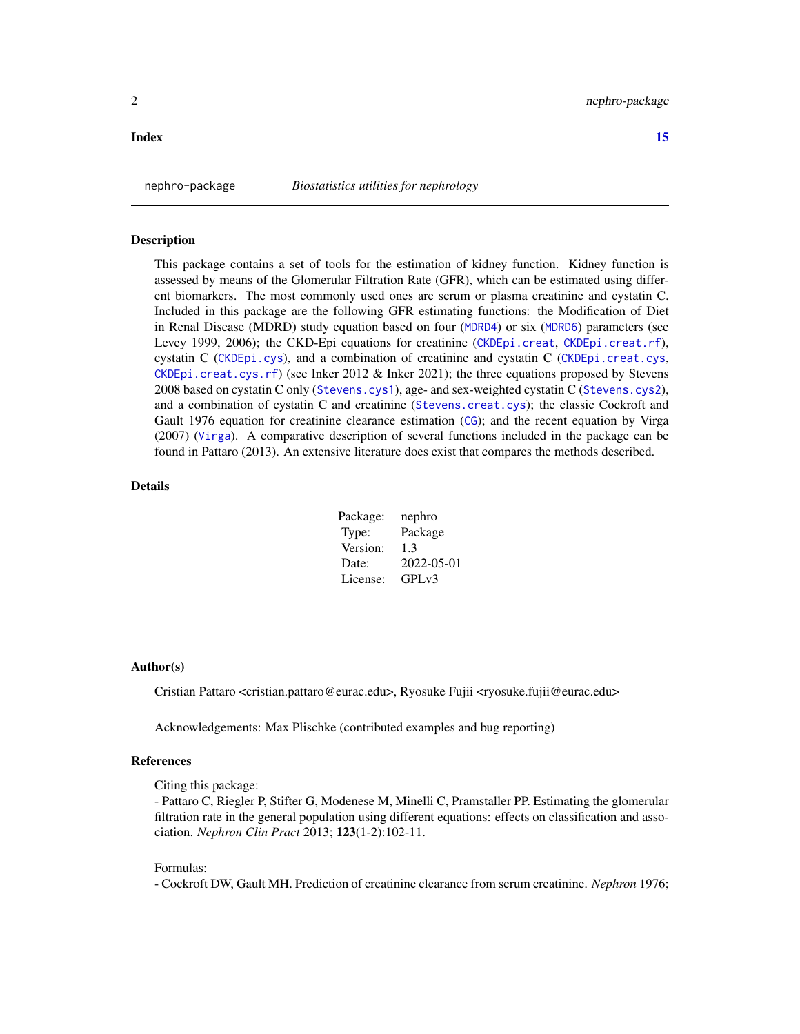#### <span id="page-1-0"></span>**Index** [15](#page-14-0)

#### **Description**

This package contains a set of tools for the estimation of kidney function. Kidney function is assessed by means of the Glomerular Filtration Rate (GFR), which can be estimated using different biomarkers. The most commonly used ones are serum or plasma creatinine and cystatin C. Included in this package are the following GFR estimating functions: the Modification of Diet in Renal Disease (MDRD) study equation based on four ([MDRD4](#page-8-1)) or six ([MDRD6](#page-9-1)) parameters (see Levey 1999, 2006); the CKD-Epi equations for creatinine ([CKDEpi.creat](#page-4-1), [CKDEpi.creat.rf](#page-7-1)), cystatin C ([CKDEpi.cys](#page-7-2)), and a combination of creatinine and cystatin C ([CKDEpi.creat.cys](#page-5-1), [CKDEpi.creat.cys.rf](#page-6-1)) (see Inker 2012 & Inker 2021); the three equations proposed by Stevens 2008 based on cystatin C only ([Stevens.cys1](#page-11-1)), age- and sex-weighted cystatin C ([Stevens.cys2](#page-11-2)), and a combination of cystatin C and creatinine ([Stevens.creat.cys](#page-10-1)); the classic Cockroft and Gault 1976 equation for creatinine clearance estimation ([CG](#page-3-1)); and the recent equation by Virga (2007) ([Virga](#page-12-1)). A comparative description of several functions included in the package can be found in Pattaro (2013). An extensive literature does exist that compares the methods described.

#### Details

| Package: | nephro             |
|----------|--------------------|
| Type:    | Package            |
| Version: | 1.3                |
| Date:    | 2022-05-01         |
| License: | GPL <sub>v</sub> 3 |

#### Author(s)

Cristian Pattaro <cristian.pattaro@eurac.edu>, Ryosuke Fujii <ryosuke.fujii@eurac.edu>

Acknowledgements: Max Plischke (contributed examples and bug reporting)

#### References

Citing this package:

- Pattaro C, Riegler P, Stifter G, Modenese M, Minelli C, Pramstaller PP. Estimating the glomerular filtration rate in the general population using different equations: effects on classification and association. *Nephron Clin Pract* 2013; 123(1-2):102-11.

#### Formulas:

- Cockroft DW, Gault MH. Prediction of creatinine clearance from serum creatinine. *Nephron* 1976;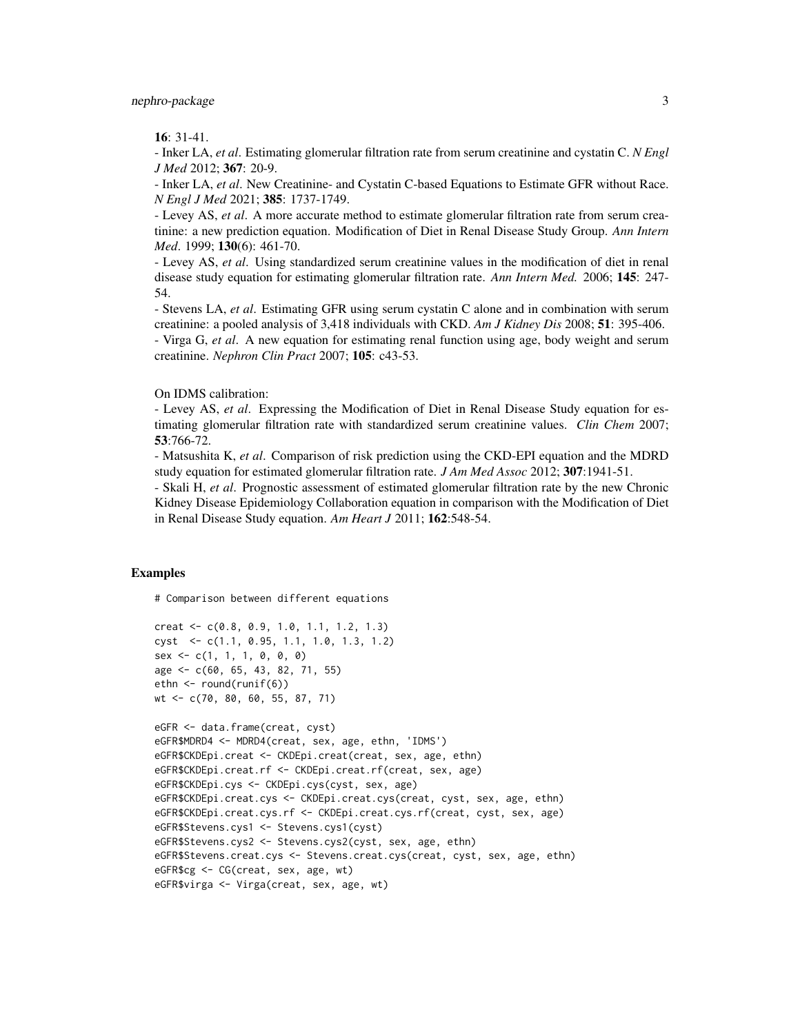16: 31-41.

- Inker LA, *et al*. Estimating glomerular filtration rate from serum creatinine and cystatin C. *N Engl J Med* 2012; 367: 20-9.

- Inker LA, *et al*. New Creatinine- and Cystatin C-based Equations to Estimate GFR without Race. *N Engl J Med* 2021; 385: 1737-1749.

- Levey AS, *et al*. A more accurate method to estimate glomerular filtration rate from serum creatinine: a new prediction equation. Modification of Diet in Renal Disease Study Group. *Ann Intern Med*. 1999; 130(6): 461-70.

- Levey AS, *et al*. Using standardized serum creatinine values in the modification of diet in renal disease study equation for estimating glomerular filtration rate. *Ann Intern Med.* 2006; 145: 247- 54.

- Stevens LA, *et al*. Estimating GFR using serum cystatin C alone and in combination with serum creatinine: a pooled analysis of 3,418 individuals with CKD. *Am J Kidney Dis* 2008; 51: 395-406. - Virga G, *et al*. A new equation for estimating renal function using age, body weight and serum creatinine. *Nephron Clin Pract* 2007; 105: c43-53.

#### On IDMS calibration:

- Levey AS, *et al*. Expressing the Modification of Diet in Renal Disease Study equation for estimating glomerular filtration rate with standardized serum creatinine values. *Clin Chem* 2007; 53:766-72.

- Matsushita K, *et al*. Comparison of risk prediction using the CKD-EPI equation and the MDRD study equation for estimated glomerular filtration rate. *J Am Med Assoc* 2012; 307:1941-51.

- Skali H, *et al*. Prognostic assessment of estimated glomerular filtration rate by the new Chronic Kidney Disease Epidemiology Collaboration equation in comparison with the Modification of Diet in Renal Disease Study equation. *Am Heart J* 2011; 162:548-54.

#### Examples

# Comparison between different equations

```
creat <- c(0.8, 0.9, 1.0, 1.1, 1.2, 1.3)
cyst <- c(1.1, 0.95, 1.1, 1.0, 1.3, 1.2)
sex < -c(1, 1, 1, 0, 0, 0)age <- c(60, 65, 43, 82, 71, 55)
ethn <- round(runif(6))
wt <- c(70, 80, 60, 55, 87, 71)
```

```
eGFR <- data.frame(creat, cyst)
eGFR$MDRD4 <- MDRD4(creat, sex, age, ethn, 'IDMS')
eGFR$CKDEpi.creat <- CKDEpi.creat(creat, sex, age, ethn)
eGFR$CKDEpi.creat.rf <- CKDEpi.creat.rf(creat, sex, age)
eGFR$CKDEpi.cys <- CKDEpi.cys(cyst, sex, age)
eGFR$CKDEpi.creat.cys <- CKDEpi.creat.cys(creat, cyst, sex, age, ethn)
eGFR$CKDEpi.creat.cys.rf <- CKDEpi.creat.cys.rf(creat, cyst, sex, age)
eGFR$Stevens.cys1 <- Stevens.cys1(cyst)
eGFR$Stevens.cys2 <- Stevens.cys2(cyst, sex, age, ethn)
eGFR$Stevens.creat.cys <- Stevens.creat.cys(creat, cyst, sex, age, ethn)
eGFR$cg <- CG(creat, sex, age, wt)
eGFR$virga <- Virga(creat, sex, age, wt)
```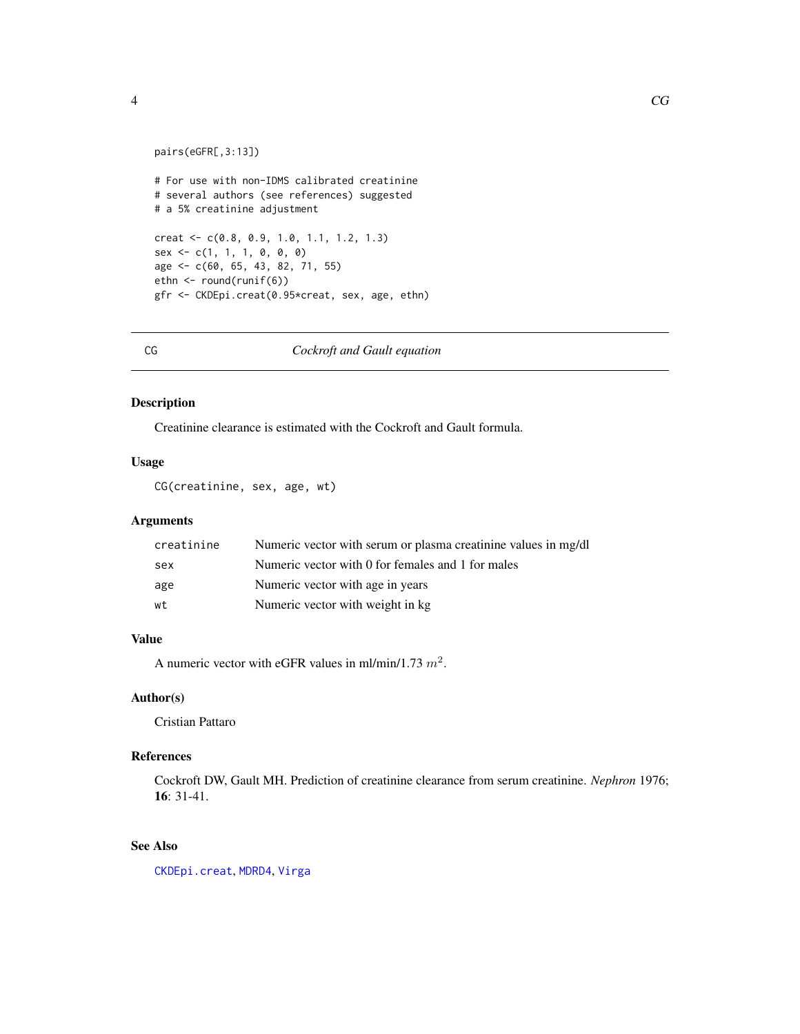```
pairs(eGFR[,3:13])
# For use with non-IDMS calibrated creatinine
# several authors (see references) suggested
# a 5% creatinine adjustment
creat <- c(0.8, 0.9, 1.0, 1.1, 1.2, 1.3)
sex < -c(1, 1, 1, 0, 0, 0)age <- c(60, 65, 43, 82, 71, 55)
ethn <- round(runif(6))
gfr <- CKDEpi.creat(0.95*creat, sex, age, ethn)
```
<span id="page-3-1"></span>CG *Cockroft and Gault equation*

# Description

Creatinine clearance is estimated with the Cockroft and Gault formula.

#### Usage

CG(creatinine, sex, age, wt)

# Arguments

| creatinine | Numeric vector with serum or plasma creatinine values in mg/dl |
|------------|----------------------------------------------------------------|
| sex        | Numeric vector with 0 for females and 1 for males              |
| age        | Numeric vector with age in years                               |
| wt         | Numeric vector with weight in kg.                              |

# Value

A numeric vector with eGFR values in ml/min/1.73  $m^2$ .

# Author(s)

Cristian Pattaro

### References

Cockroft DW, Gault MH. Prediction of creatinine clearance from serum creatinine. *Nephron* 1976; 16: 31-41.

# See Also

[CKDEpi.creat](#page-4-1), [MDRD4](#page-8-1), [Virga](#page-12-1)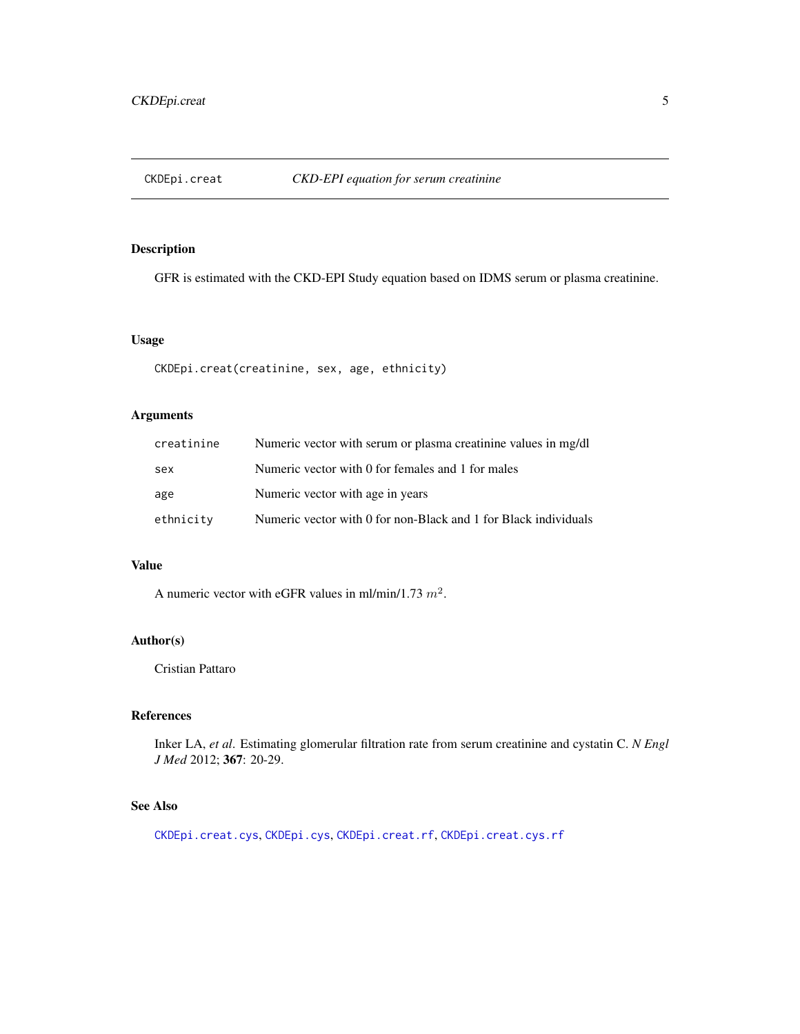<span id="page-4-1"></span><span id="page-4-0"></span>

# Description

GFR is estimated with the CKD-EPI Study equation based on IDMS serum or plasma creatinine.

#### Usage

CKDEpi.creat(creatinine, sex, age, ethnicity)

# Arguments

| creatinine | Numeric vector with serum or plasma creatinine values in mg/dl  |
|------------|-----------------------------------------------------------------|
| sex        | Numeric vector with 0 for females and 1 for males               |
| age        | Numeric vector with age in years                                |
| ethnicity  | Numeric vector with 0 for non-Black and 1 for Black individuals |

# Value

A numeric vector with eGFR values in ml/min/1.73  $m^2$ .

# Author(s)

Cristian Pattaro

#### References

Inker LA, *et al*. Estimating glomerular filtration rate from serum creatinine and cystatin C. *N Engl J Med* 2012; 367: 20-29.

# See Also

[CKDEpi.creat.cys](#page-5-1), [CKDEpi.cys](#page-7-2), [CKDEpi.creat.rf](#page-7-1), [CKDEpi.creat.cys.rf](#page-6-1)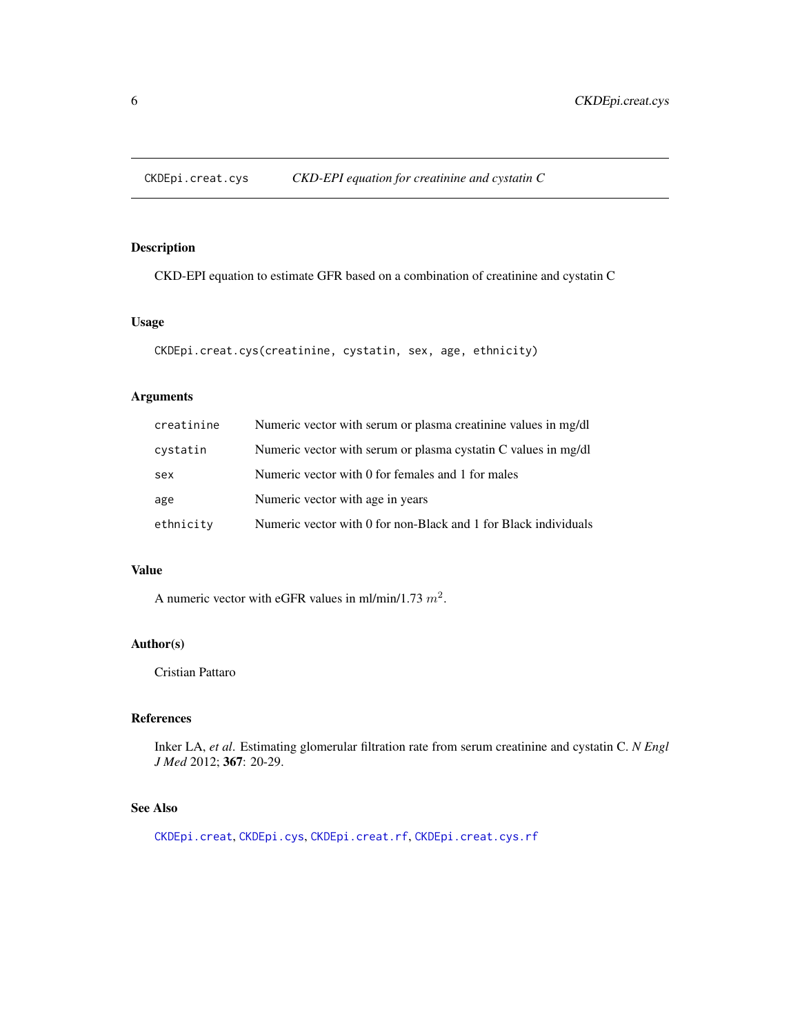<span id="page-5-1"></span><span id="page-5-0"></span>CKDEpi.creat.cys *CKD-EPI equation for creatinine and cystatin C*

# Description

CKD-EPI equation to estimate GFR based on a combination of creatinine and cystatin C

# Usage

```
CKDEpi.creat.cys(creatinine, cystatin, sex, age, ethnicity)
```
# Arguments

| creatinine | Numeric vector with serum or plasma creatinine values in mg/dl  |
|------------|-----------------------------------------------------------------|
| cystatin   | Numeric vector with serum or plasma cystatin C values in mg/dl  |
| sex        | Numeric vector with 0 for females and 1 for males               |
| age        | Numeric vector with age in years                                |
| ethnicity  | Numeric vector with 0 for non-Black and 1 for Black individuals |

#### Value

A numeric vector with eGFR values in ml/min/1.73  $m^2$ .

### Author(s)

Cristian Pattaro

# References

Inker LA, *et al*. Estimating glomerular filtration rate from serum creatinine and cystatin C. *N Engl J Med* 2012; 367: 20-29.

# See Also

[CKDEpi.creat](#page-4-1), [CKDEpi.cys](#page-7-2), [CKDEpi.creat.rf](#page-7-1), [CKDEpi.creat.cys.rf](#page-6-1)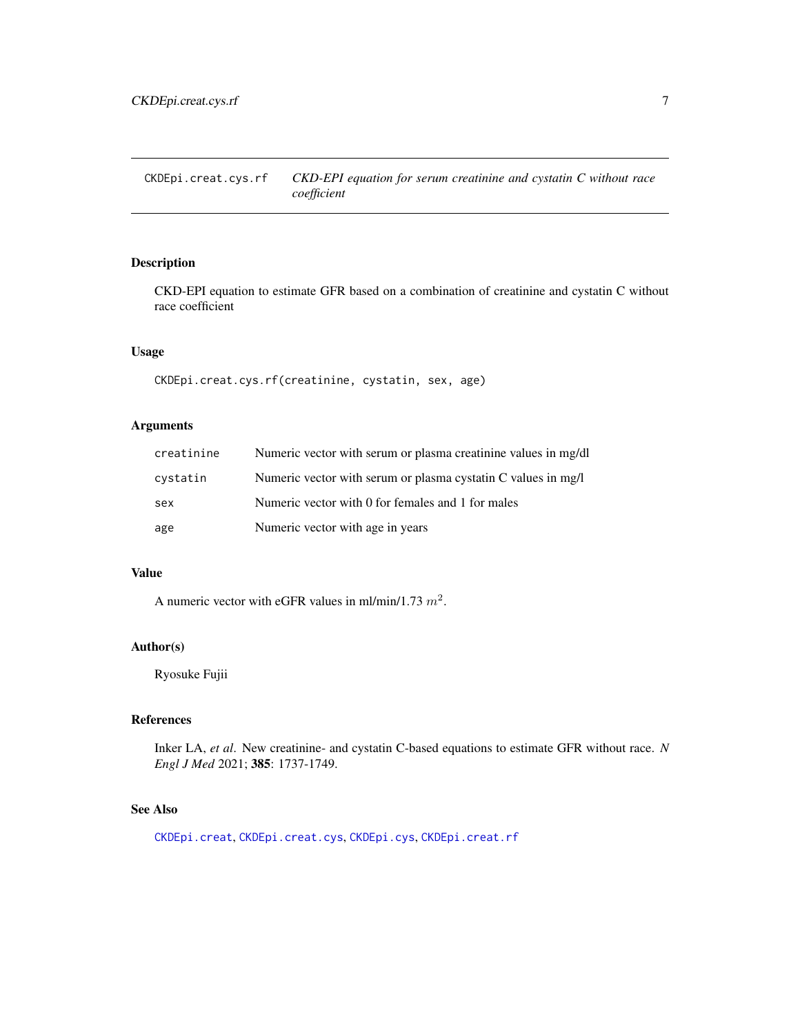<span id="page-6-1"></span><span id="page-6-0"></span>CKDEpi.creat.cys.rf *CKD-EPI equation for serum creatinine and cystatin C without race coefficient*

# Description

CKD-EPI equation to estimate GFR based on a combination of creatinine and cystatin C without race coefficient

# Usage

```
CKDEpi.creat.cys.rf(creatinine, cystatin, sex, age)
```
# Arguments

| creatinine | Numeric vector with serum or plasma creatinine values in mg/dl |
|------------|----------------------------------------------------------------|
| cystatin   | Numeric vector with serum or plasma cystatin C values in mg/l  |
| sex        | Numeric vector with 0 for females and 1 for males              |
| age        | Numeric vector with age in years                               |

#### Value

A numeric vector with eGFR values in ml/min/1.73  $m^2$ .

#### Author(s)

Ryosuke Fujii

#### References

Inker LA, *et al*. New creatinine- and cystatin C-based equations to estimate GFR without race. *N Engl J Med* 2021; 385: 1737-1749.

# See Also

[CKDEpi.creat](#page-4-1), [CKDEpi.creat.cys](#page-5-1), [CKDEpi.cys](#page-7-2), [CKDEpi.creat.rf](#page-7-1)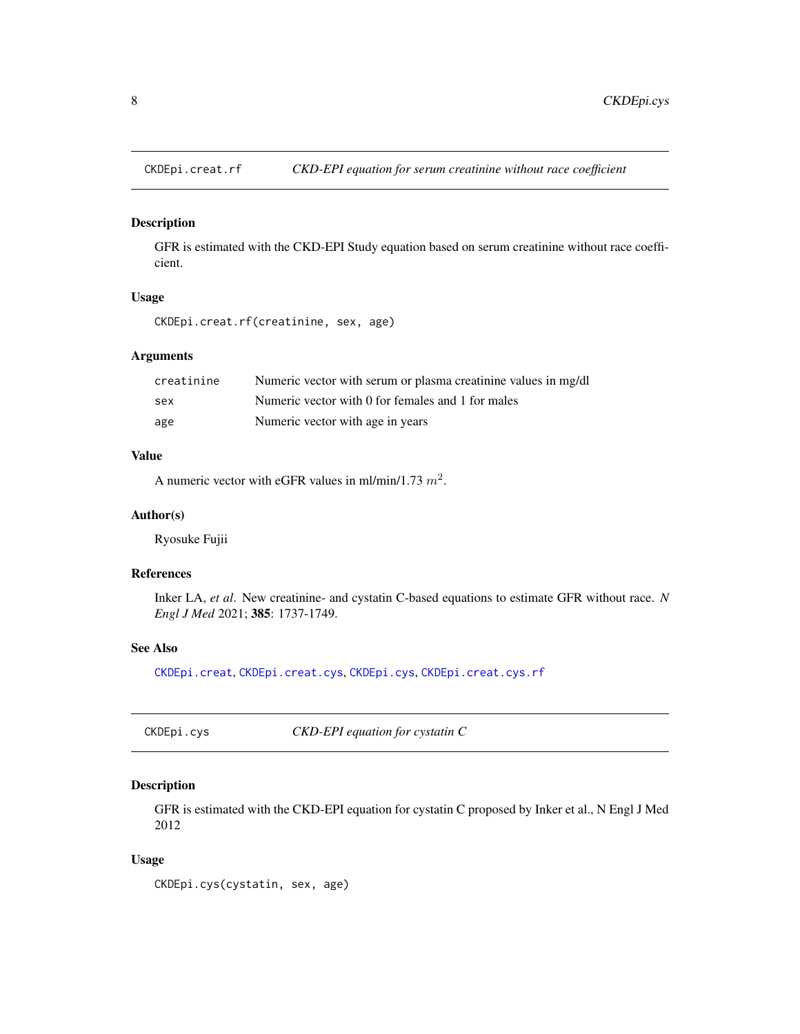<span id="page-7-1"></span><span id="page-7-0"></span>

# Description

GFR is estimated with the CKD-EPI Study equation based on serum creatinine without race coefficient.

### Usage

CKDEpi.creat.rf(creatinine, sex, age)

# Arguments

| creatinine | Numeric vector with serum or plasma creatinine values in mg/dl |
|------------|----------------------------------------------------------------|
| sex        | Numeric vector with 0 for females and 1 for males              |
| age        | Numeric vector with age in years                               |

# Value

A numeric vector with eGFR values in ml/min/1.73  $m^2$ .

### Author(s)

Ryosuke Fujii

# References

Inker LA, *et al*. New creatinine- and cystatin C-based equations to estimate GFR without race. *N Engl J Med* 2021; 385: 1737-1749.

#### See Also

[CKDEpi.creat](#page-4-1), [CKDEpi.creat.cys](#page-5-1), [CKDEpi.cys](#page-7-2), [CKDEpi.creat.cys.rf](#page-6-1)

<span id="page-7-2"></span>CKDEpi.cys *CKD-EPI equation for cystatin C*

#### Description

GFR is estimated with the CKD-EPI equation for cystatin C proposed by Inker et al., N Engl J Med 2012

#### Usage

CKDEpi.cys(cystatin, sex, age)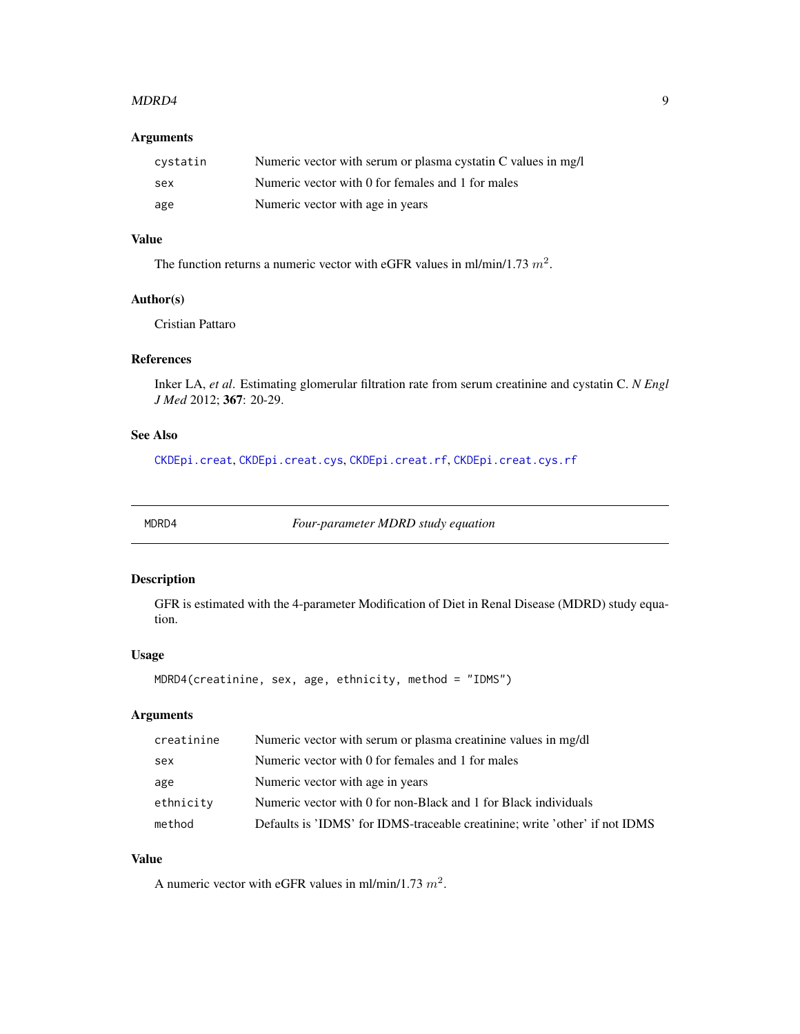#### <span id="page-8-0"></span> $MDRD4$  9

# Arguments

| cystatin | Numeric vector with serum or plasma cystatin C values in mg/l |
|----------|---------------------------------------------------------------|
| sex      | Numeric vector with 0 for females and 1 for males             |
| age      | Numeric vector with age in years                              |

# Value

The function returns a numeric vector with eGFR values in ml/min/1.73  $m^2$ .

#### Author(s)

Cristian Pattaro

# References

Inker LA, *et al*. Estimating glomerular filtration rate from serum creatinine and cystatin C. *N Engl J Med* 2012; 367: 20-29.

# See Also

[CKDEpi.creat](#page-4-1), [CKDEpi.creat.cys](#page-5-1), [CKDEpi.creat.rf](#page-7-1), [CKDEpi.creat.cys.rf](#page-6-1)

<span id="page-8-1"></span>

MDRD4 *Four-parameter MDRD study equation*

#### Description

GFR is estimated with the 4-parameter Modification of Diet in Renal Disease (MDRD) study equation.

#### Usage

MDRD4(creatinine, sex, age, ethnicity, method = "IDMS")

# Arguments

| creatinine | Numeric vector with serum or plasma creatinine values in mg/dl              |
|------------|-----------------------------------------------------------------------------|
| sex        | Numeric vector with 0 for females and 1 for males                           |
| age        | Numeric vector with age in years                                            |
| ethnicity  | Numeric vector with 0 for non-Black and 1 for Black individuals             |
| method     | Defaults is 'IDMS' for IDMS-traceable creatinine; write 'other' if not IDMS |

# Value

A numeric vector with eGFR values in ml/min/1.73  $m^2$ .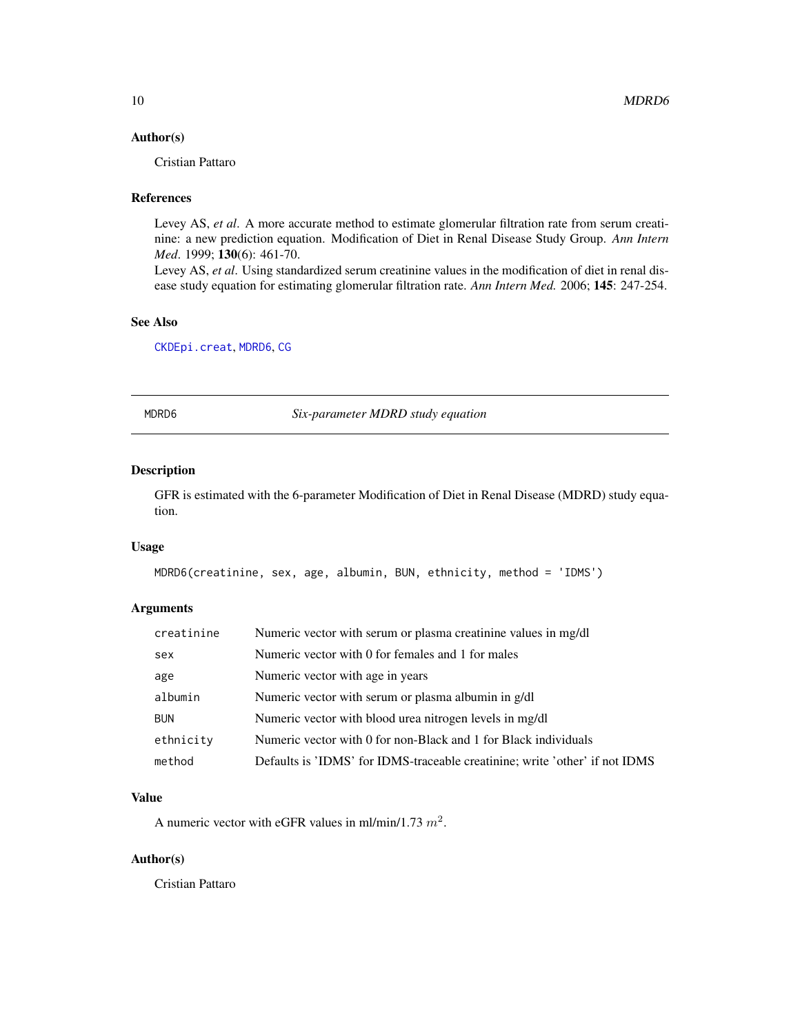# <span id="page-9-0"></span>Author(s)

Cristian Pattaro

# References

Levey AS, *et al*. A more accurate method to estimate glomerular filtration rate from serum creatinine: a new prediction equation. Modification of Diet in Renal Disease Study Group. *Ann Intern Med*. 1999; 130(6): 461-70.

Levey AS, *et al*. Using standardized serum creatinine values in the modification of diet in renal disease study equation for estimating glomerular filtration rate. *Ann Intern Med.* 2006; 145: 247-254.

#### See Also

[CKDEpi.creat](#page-4-1), [MDRD6](#page-9-1), [CG](#page-3-1)

<span id="page-9-1"></span>MDRD6 *Six-parameter MDRD study equation*

#### Description

GFR is estimated with the 6-parameter Modification of Diet in Renal Disease (MDRD) study equation.

#### Usage

```
MDRD6(creatinine, sex, age, albumin, BUN, ethnicity, method = 'IDMS')
```
#### Arguments

| creatinine | Numeric vector with serum or plasma creatinine values in mg/dl              |
|------------|-----------------------------------------------------------------------------|
| sex        | Numeric vector with 0 for females and 1 for males                           |
| age        | Numeric vector with age in years                                            |
| albumin    | Numeric vector with serum or plasma albumin in g/dl                         |
| <b>BUN</b> | Numeric vector with blood urea nitrogen levels in mg/dl                     |
| ethnicity  | Numeric vector with 0 for non-Black and 1 for Black individuals             |
| method     | Defaults is 'IDMS' for IDMS-traceable creatinine; write 'other' if not IDMS |

#### Value

A numeric vector with eGFR values in ml/min/1.73  $m^2$ .

# Author(s)

Cristian Pattaro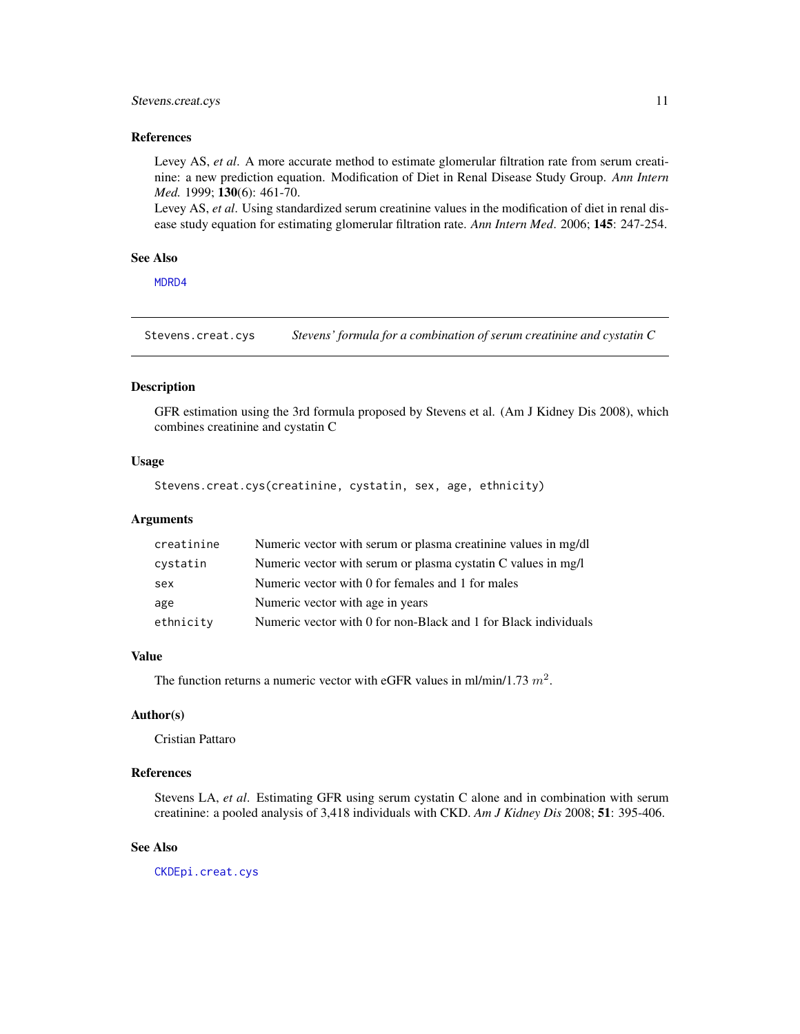#### <span id="page-10-0"></span>Stevens.creat.cys 11

#### References

Levey AS, *et al*. A more accurate method to estimate glomerular filtration rate from serum creatinine: a new prediction equation. Modification of Diet in Renal Disease Study Group. *Ann Intern Med.* 1999; 130(6): 461-70.

Levey AS, *et al*. Using standardized serum creatinine values in the modification of diet in renal disease study equation for estimating glomerular filtration rate. *Ann Intern Med*. 2006; 145: 247-254.

#### See Also

[MDRD4](#page-8-1)

<span id="page-10-1"></span>Stevens.creat.cys *Stevens' formula for a combination of serum creatinine and cystatin C*

# Description

GFR estimation using the 3rd formula proposed by Stevens et al. (Am J Kidney Dis 2008), which combines creatinine and cystatin C

#### Usage

```
Stevens.creat.cys(creatinine, cystatin, sex, age, ethnicity)
```
#### **Arguments**

| creatinine | Numeric vector with serum or plasma creatinine values in mg/dl  |
|------------|-----------------------------------------------------------------|
| cystatin   | Numeric vector with serum or plasma cystatin C values in mg/l   |
| sex        | Numeric vector with 0 for females and 1 for males               |
| age        | Numeric vector with age in years                                |
| ethnicity  | Numeric vector with 0 for non-Black and 1 for Black individuals |

#### Value

The function returns a numeric vector with eGFR values in ml/min/1.73  $m^2$ .

#### Author(s)

Cristian Pattaro

### References

Stevens LA, *et al*. Estimating GFR using serum cystatin C alone and in combination with serum creatinine: a pooled analysis of 3,418 individuals with CKD. *Am J Kidney Dis* 2008; 51: 395-406.

#### See Also

[CKDEpi.creat.cys](#page-5-1)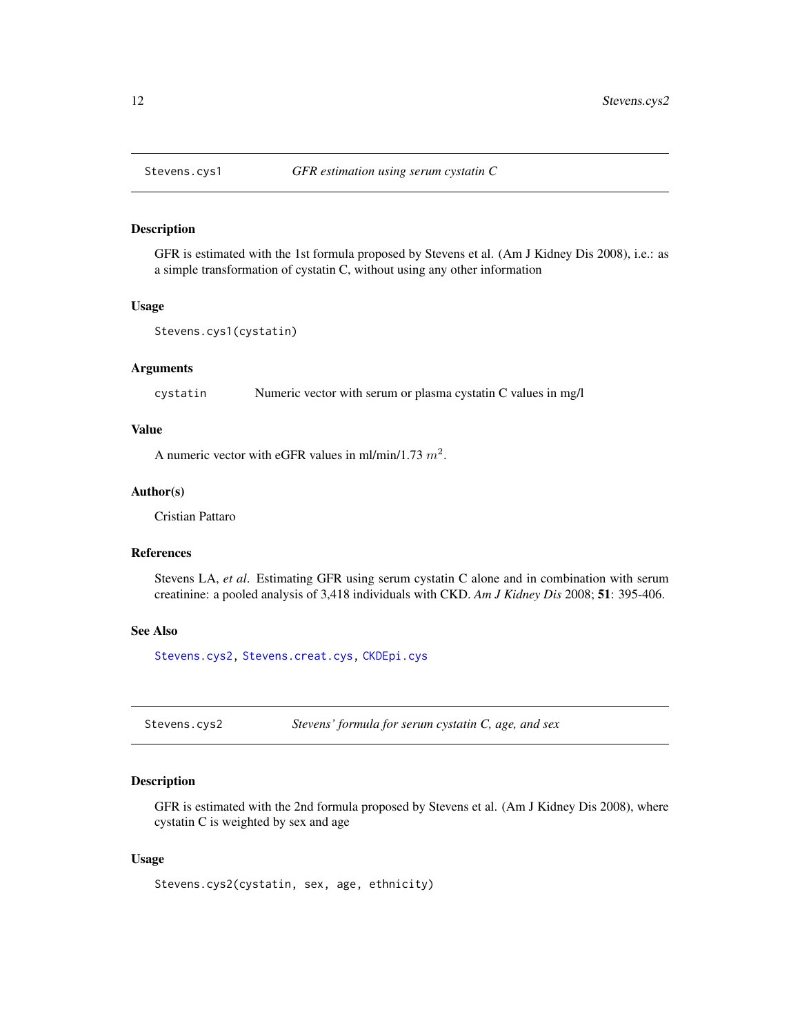# Description

GFR is estimated with the 1st formula proposed by Stevens et al. (Am J Kidney Dis 2008), i.e.: as a simple transformation of cystatin C, without using any other information

#### Usage

```
Stevens.cys1(cystatin)
```
#### Arguments

cystatin Numeric vector with serum or plasma cystatin C values in mg/l

#### Value

A numeric vector with eGFR values in ml/min/1.73  $m^2$ .

#### Author(s)

Cristian Pattaro

# References

Stevens LA, *et al*. Estimating GFR using serum cystatin C alone and in combination with serum creatinine: a pooled analysis of 3,418 individuals with CKD. *Am J Kidney Dis* 2008; 51: 395-406.

#### See Also

[Stevens.cys2,](#page-11-2) [Stevens.creat.cys,](#page-10-1) [CKDEpi.cys](#page-7-2)

<span id="page-11-2"></span>Stevens.cys2 *Stevens' formula for serum cystatin C, age, and sex*

# Description

GFR is estimated with the 2nd formula proposed by Stevens et al. (Am J Kidney Dis 2008), where cystatin C is weighted by sex and age

#### Usage

Stevens.cys2(cystatin, sex, age, ethnicity)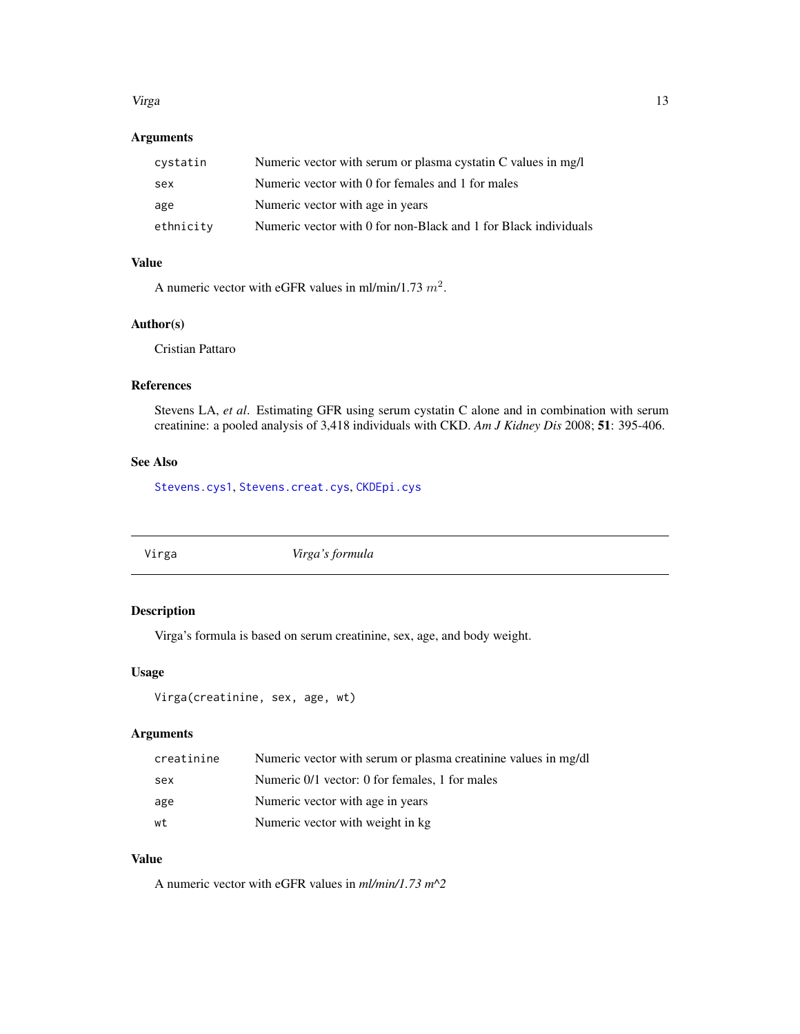#### <span id="page-12-0"></span>Virga tidak karena daga ke 13 metatra. 13 metatra 13 metatra 13 metatra. 13 metatra 13 metatra 13 metatra 13 metatra 13 metatra. 13 metatra 13 metatra 13 metatra 13 metatra. 13 metatra 14 metatra 13 metatra 14 metatra 14 m

# Arguments

| cystatin  | Numeric vector with serum or plasma cystatin C values in mg/l   |
|-----------|-----------------------------------------------------------------|
| sex       | Numeric vector with 0 for females and 1 for males               |
| age       | Numeric vector with age in years                                |
| ethnicity | Numeric vector with 0 for non-Black and 1 for Black individuals |

# Value

A numeric vector with eGFR values in ml/min/1.73  $m^2$ .

#### Author(s)

Cristian Pattaro

### References

Stevens LA, *et al*. Estimating GFR using serum cystatin C alone and in combination with serum creatinine: a pooled analysis of 3,418 individuals with CKD. *Am J Kidney Dis* 2008; 51: 395-406.

# See Also

[Stevens.cys1](#page-11-1), [Stevens.creat.cys](#page-10-1), [CKDEpi.cys](#page-7-2)

<span id="page-12-1"></span>

Virga *Virga's formula*

# Description

Virga's formula is based on serum creatinine, sex, age, and body weight.

#### Usage

```
Virga(creatinine, sex, age, wt)
```
# Arguments

| creatinine | Numeric vector with serum or plasma creatinine values in mg/dl |
|------------|----------------------------------------------------------------|
| sex        | Numeric 0/1 vector: 0 for females, 1 for males                 |
| age        | Numeric vector with age in years                               |
| wt         | Numeric vector with weight in kg.                              |

# Value

A numeric vector with eGFR values in *ml/min/1.73 m^2*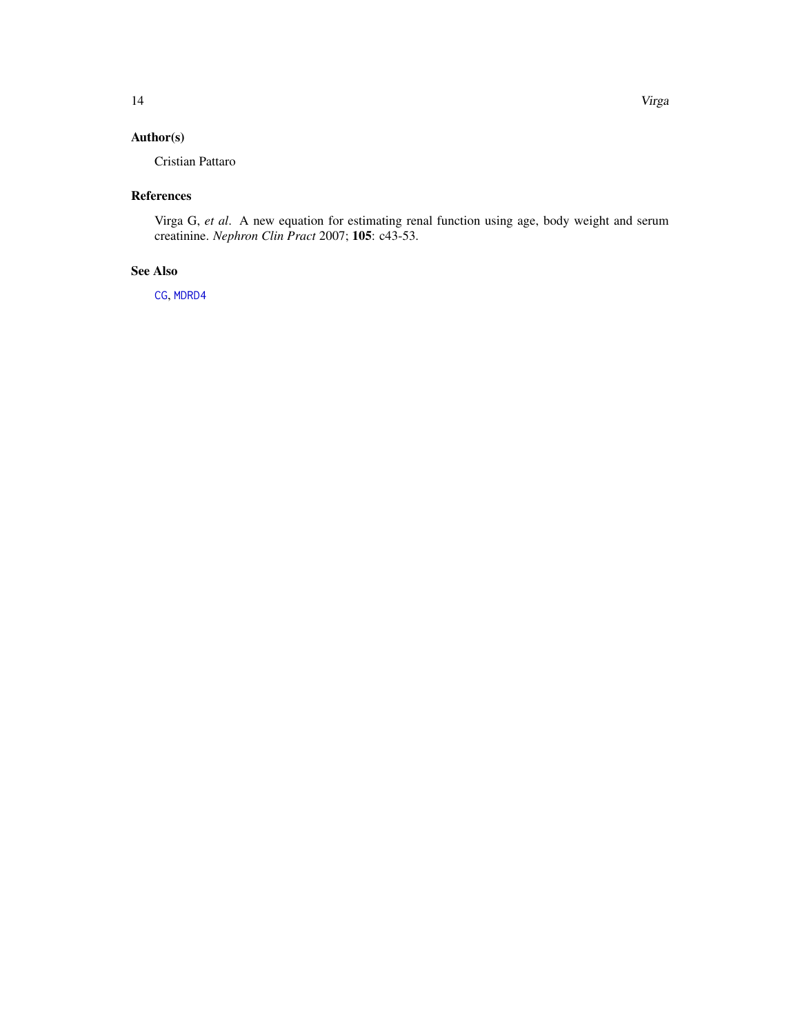<span id="page-13-0"></span>Cristian Pattaro

# References

Virga G, *et al*. A new equation for estimating renal function using age, body weight and serum creatinine. *Nephron Clin Pract* 2007; 105: c43-53.

# See Also

[CG](#page-3-1), [MDRD4](#page-8-1)